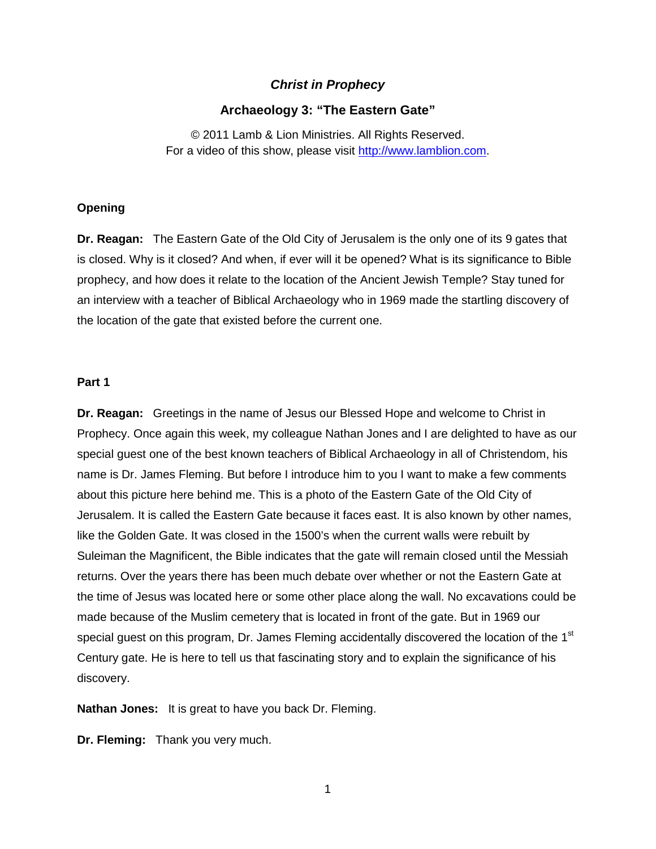# *Christ in Prophecy*

## **Archaeology 3: "The Eastern Gate"**

© 2011 Lamb & Lion Ministries. All Rights Reserved. For a video of this show, please visit [http://www.lamblion.com.](http://www.lamblion.com/)

## **Opening**

**Dr. Reagan:** The Eastern Gate of the Old City of Jerusalem is the only one of its 9 gates that is closed. Why is it closed? And when, if ever will it be opened? What is its significance to Bible prophecy, and how does it relate to the location of the Ancient Jewish Temple? Stay tuned for an interview with a teacher of Biblical Archaeology who in 1969 made the startling discovery of the location of the gate that existed before the current one.

### **Part 1**

**Dr. Reagan:** Greetings in the name of Jesus our Blessed Hope and welcome to Christ in Prophecy. Once again this week, my colleague Nathan Jones and I are delighted to have as our special guest one of the best known teachers of Biblical Archaeology in all of Christendom, his name is Dr. James Fleming. But before I introduce him to you I want to make a few comments about this picture here behind me. This is a photo of the Eastern Gate of the Old City of Jerusalem. It is called the Eastern Gate because it faces east. It is also known by other names, like the Golden Gate. It was closed in the 1500's when the current walls were rebuilt by Suleiman the Magnificent, the Bible indicates that the gate will remain closed until the Messiah returns. Over the years there has been much debate over whether or not the Eastern Gate at the time of Jesus was located here or some other place along the wall. No excavations could be made because of the Muslim cemetery that is located in front of the gate. But in 1969 our special guest on this program, Dr. James Fleming accidentally discovered the location of the 1<sup>st</sup> Century gate. He is here to tell us that fascinating story and to explain the significance of his discovery.

**Nathan Jones:** It is great to have you back Dr. Fleming.

**Dr. Fleming:** Thank you very much.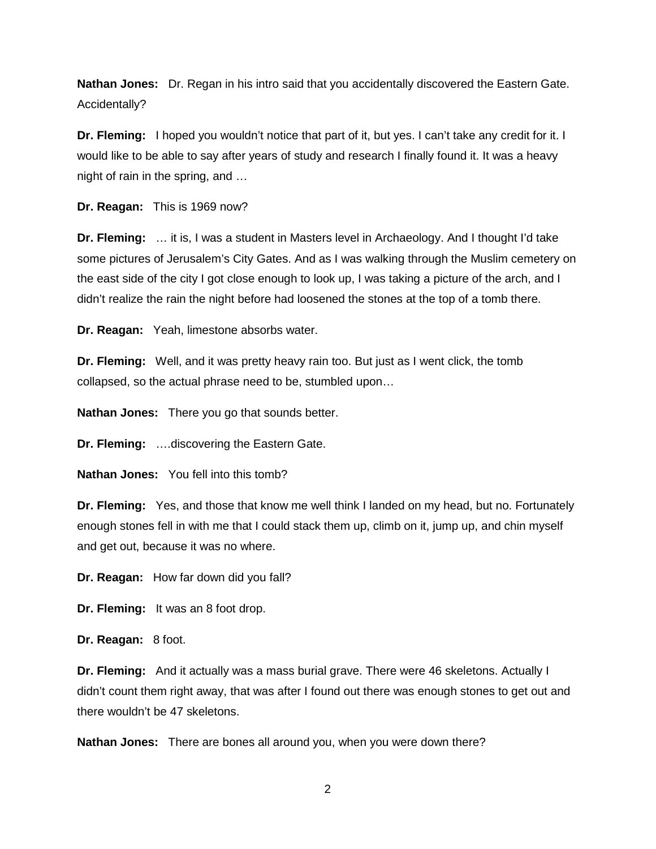**Nathan Jones:** Dr. Regan in his intro said that you accidentally discovered the Eastern Gate. Accidentally?

**Dr. Fleming:** I hoped you wouldn't notice that part of it, but yes. I can't take any credit for it. I would like to be able to say after years of study and research I finally found it. It was a heavy night of rain in the spring, and …

**Dr. Reagan:** This is 1969 now?

**Dr. Fleming:** … it is, I was a student in Masters level in Archaeology. And I thought I'd take some pictures of Jerusalem's City Gates. And as I was walking through the Muslim cemetery on the east side of the city I got close enough to look up, I was taking a picture of the arch, and I didn't realize the rain the night before had loosened the stones at the top of a tomb there.

**Dr. Reagan:** Yeah, limestone absorbs water.

**Dr. Fleming:** Well, and it was pretty heavy rain too. But just as I went click, the tomb collapsed, so the actual phrase need to be, stumbled upon…

**Nathan Jones:** There you go that sounds better.

**Dr. Fleming:** ….discovering the Eastern Gate.

**Nathan Jones:** You fell into this tomb?

**Dr. Fleming:** Yes, and those that know me well think I landed on my head, but no. Fortunately enough stones fell in with me that I could stack them up, climb on it, jump up, and chin myself and get out, because it was no where.

**Dr. Reagan:** How far down did you fall?

**Dr. Fleming:** It was an 8 foot drop.

**Dr. Reagan:** 8 foot.

**Dr. Fleming:** And it actually was a mass burial grave. There were 46 skeletons. Actually I didn't count them right away, that was after I found out there was enough stones to get out and there wouldn't be 47 skeletons.

**Nathan Jones:** There are bones all around you, when you were down there?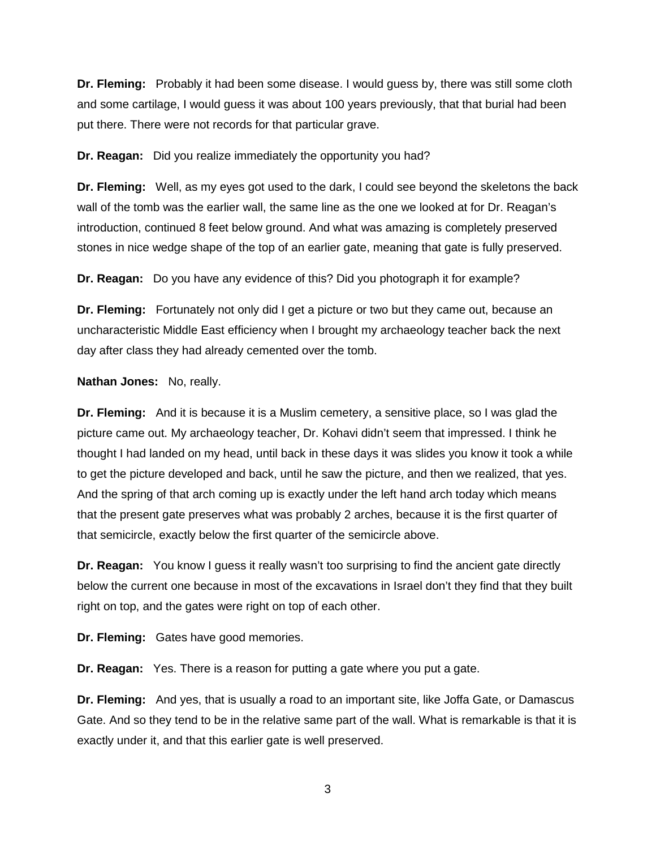**Dr. Fleming:** Probably it had been some disease. I would guess by, there was still some cloth and some cartilage, I would guess it was about 100 years previously, that that burial had been put there. There were not records for that particular grave.

**Dr. Reagan:** Did you realize immediately the opportunity you had?

**Dr. Fleming:** Well, as my eyes got used to the dark, I could see beyond the skeletons the back wall of the tomb was the earlier wall, the same line as the one we looked at for Dr. Reagan's introduction, continued 8 feet below ground. And what was amazing is completely preserved stones in nice wedge shape of the top of an earlier gate, meaning that gate is fully preserved.

**Dr. Reagan:** Do you have any evidence of this? Did you photograph it for example?

**Dr. Fleming:** Fortunately not only did I get a picture or two but they came out, because an uncharacteristic Middle East efficiency when I brought my archaeology teacher back the next day after class they had already cemented over the tomb.

**Nathan Jones:** No, really.

**Dr. Fleming:** And it is because it is a Muslim cemetery, a sensitive place, so I was glad the picture came out. My archaeology teacher, Dr. Kohavi didn't seem that impressed. I think he thought I had landed on my head, until back in these days it was slides you know it took a while to get the picture developed and back, until he saw the picture, and then we realized, that yes. And the spring of that arch coming up is exactly under the left hand arch today which means that the present gate preserves what was probably 2 arches, because it is the first quarter of that semicircle, exactly below the first quarter of the semicircle above.

**Dr. Reagan:** You know I guess it really wasn't too surprising to find the ancient gate directly below the current one because in most of the excavations in Israel don't they find that they built right on top, and the gates were right on top of each other.

**Dr. Fleming:** Gates have good memories.

**Dr. Reagan:** Yes. There is a reason for putting a gate where you put a gate.

**Dr. Fleming:** And yes, that is usually a road to an important site, like Joffa Gate, or Damascus Gate. And so they tend to be in the relative same part of the wall. What is remarkable is that it is exactly under it, and that this earlier gate is well preserved.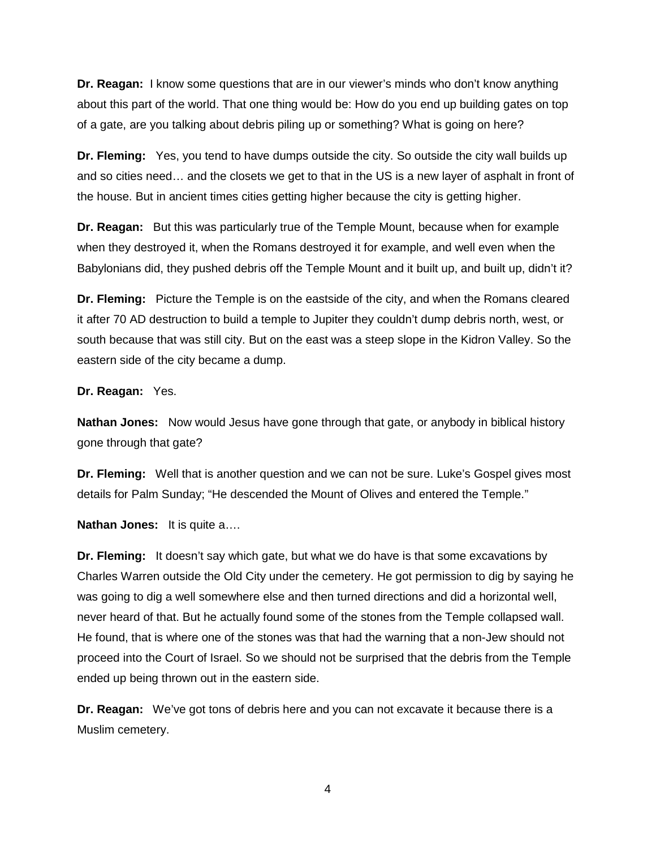**Dr. Reagan:** I know some questions that are in our viewer's minds who don't know anything about this part of the world. That one thing would be: How do you end up building gates on top of a gate, are you talking about debris piling up or something? What is going on here?

**Dr. Fleming:** Yes, you tend to have dumps outside the city. So outside the city wall builds up and so cities need… and the closets we get to that in the US is a new layer of asphalt in front of the house. But in ancient times cities getting higher because the city is getting higher.

**Dr. Reagan:** But this was particularly true of the Temple Mount, because when for example when they destroyed it, when the Romans destroyed it for example, and well even when the Babylonians did, they pushed debris off the Temple Mount and it built up, and built up, didn't it?

**Dr. Fleming:** Picture the Temple is on the eastside of the city, and when the Romans cleared it after 70 AD destruction to build a temple to Jupiter they couldn't dump debris north, west, or south because that was still city. But on the east was a steep slope in the Kidron Valley. So the eastern side of the city became a dump.

#### **Dr. Reagan:** Yes.

**Nathan Jones:** Now would Jesus have gone through that gate, or anybody in biblical history gone through that gate?

**Dr. Fleming:** Well that is another question and we can not be sure. Luke's Gospel gives most details for Palm Sunday; "He descended the Mount of Olives and entered the Temple."

**Nathan Jones:** It is quite a….

**Dr. Fleming:** It doesn't say which gate, but what we do have is that some excavations by Charles Warren outside the Old City under the cemetery. He got permission to dig by saying he was going to dig a well somewhere else and then turned directions and did a horizontal well, never heard of that. But he actually found some of the stones from the Temple collapsed wall. He found, that is where one of the stones was that had the warning that a non-Jew should not proceed into the Court of Israel. So we should not be surprised that the debris from the Temple ended up being thrown out in the eastern side.

**Dr. Reagan:** We've got tons of debris here and you can not excavate it because there is a Muslim cemetery.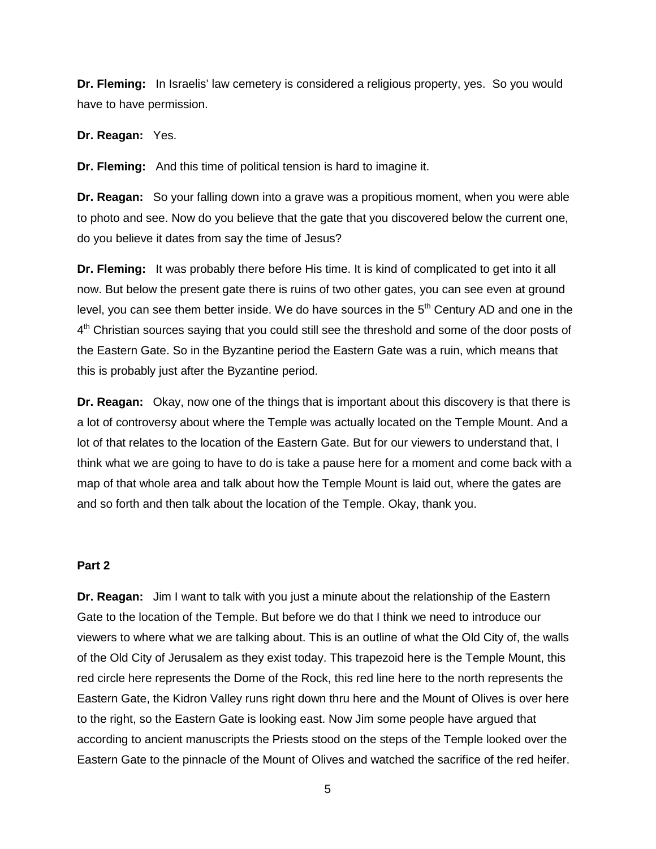**Dr. Fleming:** In Israelis' law cemetery is considered a religious property, yes. So you would have to have permission.

**Dr. Reagan:** Yes.

**Dr. Fleming:** And this time of political tension is hard to imagine it.

**Dr. Reagan:** So your falling down into a grave was a propitious moment, when you were able to photo and see. Now do you believe that the gate that you discovered below the current one, do you believe it dates from say the time of Jesus?

**Dr. Fleming:** It was probably there before His time. It is kind of complicated to get into it all now. But below the present gate there is ruins of two other gates, you can see even at ground level, you can see them better inside. We do have sources in the  $5<sup>th</sup>$  Century AD and one in the  $4<sup>th</sup>$  Christian sources saying that you could still see the threshold and some of the door posts of the Eastern Gate. So in the Byzantine period the Eastern Gate was a ruin, which means that this is probably just after the Byzantine period.

**Dr. Reagan:** Okay, now one of the things that is important about this discovery is that there is a lot of controversy about where the Temple was actually located on the Temple Mount. And a lot of that relates to the location of the Eastern Gate. But for our viewers to understand that, I think what we are going to have to do is take a pause here for a moment and come back with a map of that whole area and talk about how the Temple Mount is laid out, where the gates are and so forth and then talk about the location of the Temple. Okay, thank you.

# **Part 2**

**Dr. Reagan:** Jim I want to talk with you just a minute about the relationship of the Eastern Gate to the location of the Temple. But before we do that I think we need to introduce our viewers to where what we are talking about. This is an outline of what the Old City of, the walls of the Old City of Jerusalem as they exist today. This trapezoid here is the Temple Mount, this red circle here represents the Dome of the Rock, this red line here to the north represents the Eastern Gate, the Kidron Valley runs right down thru here and the Mount of Olives is over here to the right, so the Eastern Gate is looking east. Now Jim some people have argued that according to ancient manuscripts the Priests stood on the steps of the Temple looked over the Eastern Gate to the pinnacle of the Mount of Olives and watched the sacrifice of the red heifer.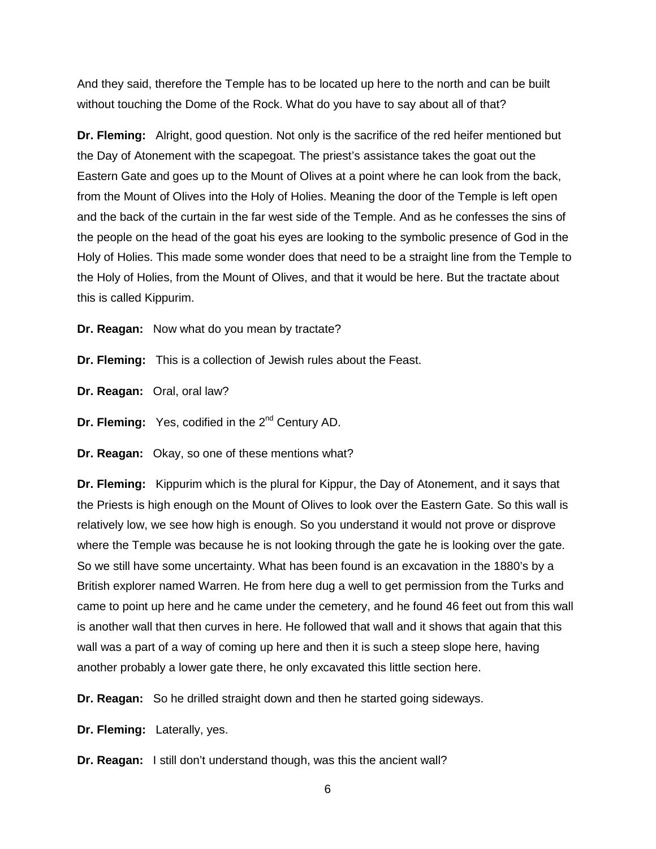And they said, therefore the Temple has to be located up here to the north and can be built without touching the Dome of the Rock. What do you have to say about all of that?

**Dr. Fleming:** Alright, good question. Not only is the sacrifice of the red heifer mentioned but the Day of Atonement with the scapegoat. The priest's assistance takes the goat out the Eastern Gate and goes up to the Mount of Olives at a point where he can look from the back, from the Mount of Olives into the Holy of Holies. Meaning the door of the Temple is left open and the back of the curtain in the far west side of the Temple. And as he confesses the sins of the people on the head of the goat his eyes are looking to the symbolic presence of God in the Holy of Holies. This made some wonder does that need to be a straight line from the Temple to the Holy of Holies, from the Mount of Olives, and that it would be here. But the tractate about this is called Kippurim.

**Dr. Reagan:** Now what do you mean by tractate?

**Dr. Fleming:** This is a collection of Jewish rules about the Feast.

**Dr. Reagan:** Oral, oral law?

**Dr. Fleming:** Yes, codified in the 2<sup>nd</sup> Century AD.

**Dr. Reagan:** Okay, so one of these mentions what?

**Dr. Fleming:** Kippurim which is the plural for Kippur, the Day of Atonement, and it says that the Priests is high enough on the Mount of Olives to look over the Eastern Gate. So this wall is relatively low, we see how high is enough. So you understand it would not prove or disprove where the Temple was because he is not looking through the gate he is looking over the gate. So we still have some uncertainty. What has been found is an excavation in the 1880's by a British explorer named Warren. He from here dug a well to get permission from the Turks and came to point up here and he came under the cemetery, and he found 46 feet out from this wall is another wall that then curves in here. He followed that wall and it shows that again that this wall was a part of a way of coming up here and then it is such a steep slope here, having another probably a lower gate there, he only excavated this little section here.

**Dr. Reagan:** So he drilled straight down and then he started going sideways.

**Dr. Fleming:** Laterally, yes.

**Dr. Reagan:** I still don't understand though, was this the ancient wall?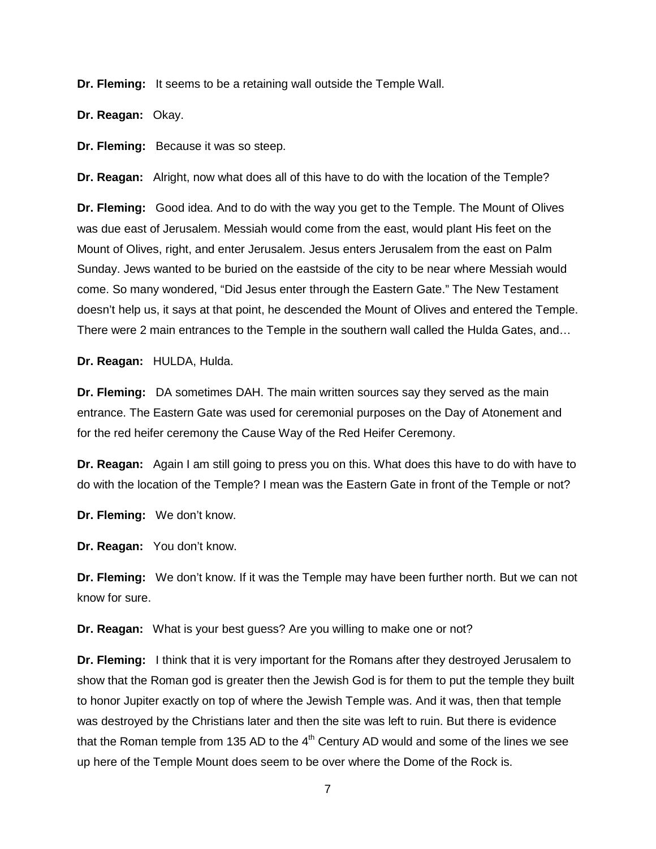**Dr. Fleming:** It seems to be a retaining wall outside the Temple Wall.

**Dr. Reagan:** Okay.

**Dr. Fleming:** Because it was so steep.

**Dr. Reagan:** Alright, now what does all of this have to do with the location of the Temple?

**Dr. Fleming:** Good idea. And to do with the way you get to the Temple. The Mount of Olives was due east of Jerusalem. Messiah would come from the east, would plant His feet on the Mount of Olives, right, and enter Jerusalem. Jesus enters Jerusalem from the east on Palm Sunday. Jews wanted to be buried on the eastside of the city to be near where Messiah would come. So many wondered, "Did Jesus enter through the Eastern Gate." The New Testament doesn't help us, it says at that point, he descended the Mount of Olives and entered the Temple. There were 2 main entrances to the Temple in the southern wall called the Hulda Gates, and…

**Dr. Reagan:** HULDA, Hulda.

**Dr. Fleming:** DA sometimes DAH. The main written sources say they served as the main entrance. The Eastern Gate was used for ceremonial purposes on the Day of Atonement and for the red heifer ceremony the Cause Way of the Red Heifer Ceremony.

**Dr. Reagan:** Again I am still going to press you on this. What does this have to do with have to do with the location of the Temple? I mean was the Eastern Gate in front of the Temple or not?

**Dr. Fleming:** We don't know.

**Dr. Reagan:** You don't know.

**Dr. Fleming:** We don't know. If it was the Temple may have been further north. But we can not know for sure.

**Dr. Reagan:** What is your best guess? Are you willing to make one or not?

**Dr. Fleming:** I think that it is very important for the Romans after they destroyed Jerusalem to show that the Roman god is greater then the Jewish God is for them to put the temple they built to honor Jupiter exactly on top of where the Jewish Temple was. And it was, then that temple was destroyed by the Christians later and then the site was left to ruin. But there is evidence that the Roman temple from 135 AD to the  $4<sup>th</sup>$  Century AD would and some of the lines we see up here of the Temple Mount does seem to be over where the Dome of the Rock is.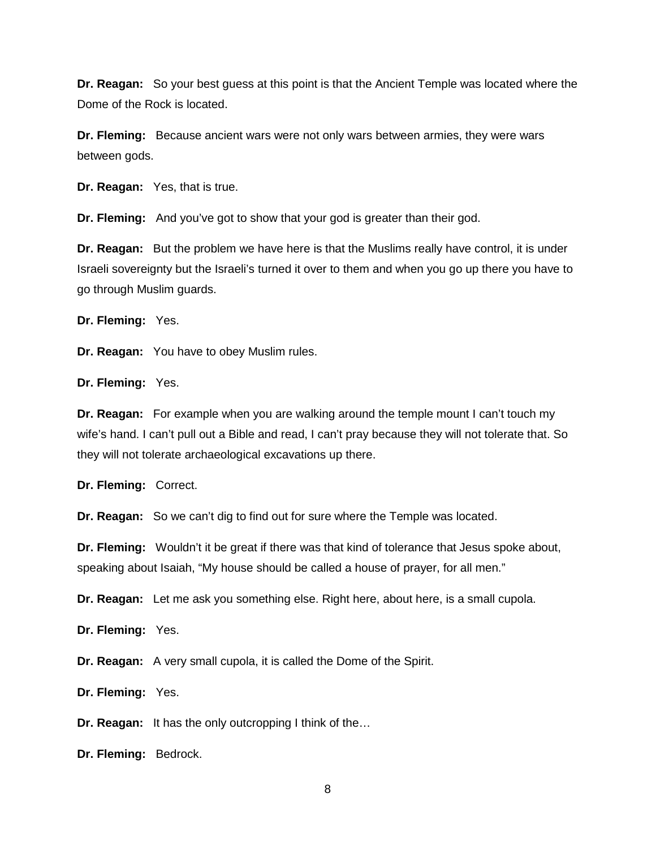**Dr. Reagan:** So your best guess at this point is that the Ancient Temple was located where the Dome of the Rock is located.

**Dr. Fleming:** Because ancient wars were not only wars between armies, they were wars between gods.

**Dr. Reagan:** Yes, that is true.

**Dr. Fleming:** And you've got to show that your god is greater than their god.

**Dr. Reagan:** But the problem we have here is that the Muslims really have control, it is under Israeli sovereignty but the Israeli's turned it over to them and when you go up there you have to go through Muslim guards.

**Dr. Fleming:** Yes.

**Dr. Reagan:** You have to obey Muslim rules.

**Dr. Fleming:** Yes.

**Dr. Reagan:** For example when you are walking around the temple mount I can't touch my wife's hand. I can't pull out a Bible and read, I can't pray because they will not tolerate that. So they will not tolerate archaeological excavations up there.

**Dr. Fleming:** Correct.

**Dr. Reagan:** So we can't dig to find out for sure where the Temple was located.

**Dr. Fleming:** Wouldn't it be great if there was that kind of tolerance that Jesus spoke about, speaking about Isaiah, "My house should be called a house of prayer, for all men."

**Dr. Reagan:** Let me ask you something else. Right here, about here, is a small cupola.

**Dr. Fleming:** Yes.

**Dr. Reagan:** A very small cupola, it is called the Dome of the Spirit.

**Dr. Fleming:** Yes.

**Dr. Reagan:** It has the only outcropping I think of the…

**Dr. Fleming:** Bedrock.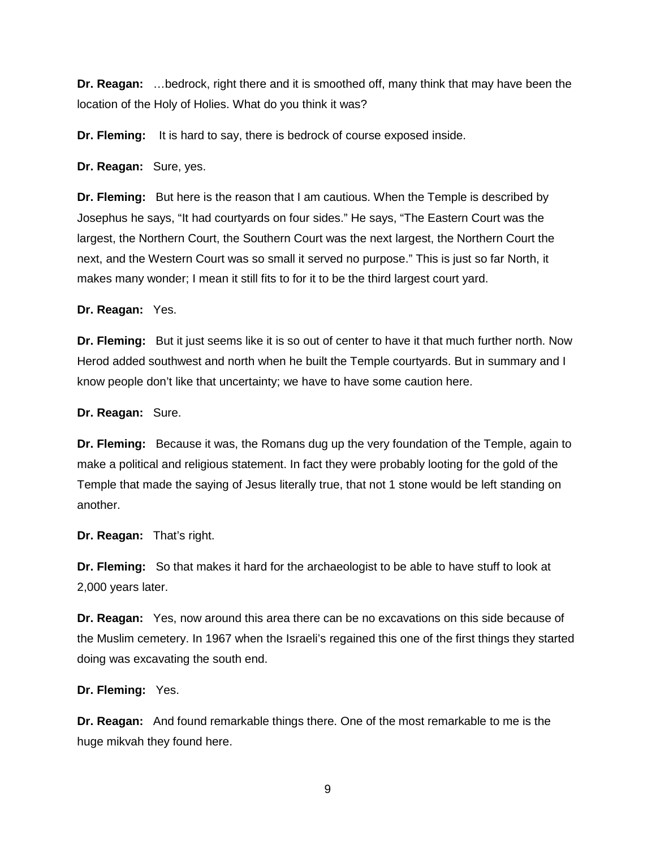**Dr. Reagan:** …bedrock, right there and it is smoothed off, many think that may have been the location of the Holy of Holies. What do you think it was?

**Dr. Fleming:** It is hard to say, there is bedrock of course exposed inside.

**Dr. Reagan:** Sure, yes.

**Dr. Fleming:** But here is the reason that I am cautious. When the Temple is described by Josephus he says, "It had courtyards on four sides." He says, "The Eastern Court was the largest, the Northern Court, the Southern Court was the next largest, the Northern Court the next, and the Western Court was so small it served no purpose." This is just so far North, it makes many wonder; I mean it still fits to for it to be the third largest court yard.

**Dr. Reagan:** Yes.

**Dr. Fleming:** But it just seems like it is so out of center to have it that much further north. Now Herod added southwest and north when he built the Temple courtyards. But in summary and I know people don't like that uncertainty; we have to have some caution here.

**Dr. Reagan:** Sure.

**Dr. Fleming:** Because it was, the Romans dug up the very foundation of the Temple, again to make a political and religious statement. In fact they were probably looting for the gold of the Temple that made the saying of Jesus literally true, that not 1 stone would be left standing on another.

**Dr. Reagan:** That's right.

**Dr. Fleming:** So that makes it hard for the archaeologist to be able to have stuff to look at 2,000 years later.

**Dr. Reagan:** Yes, now around this area there can be no excavations on this side because of the Muslim cemetery. In 1967 when the Israeli's regained this one of the first things they started doing was excavating the south end.

**Dr. Fleming:** Yes.

**Dr. Reagan:** And found remarkable things there. One of the most remarkable to me is the huge mikvah they found here.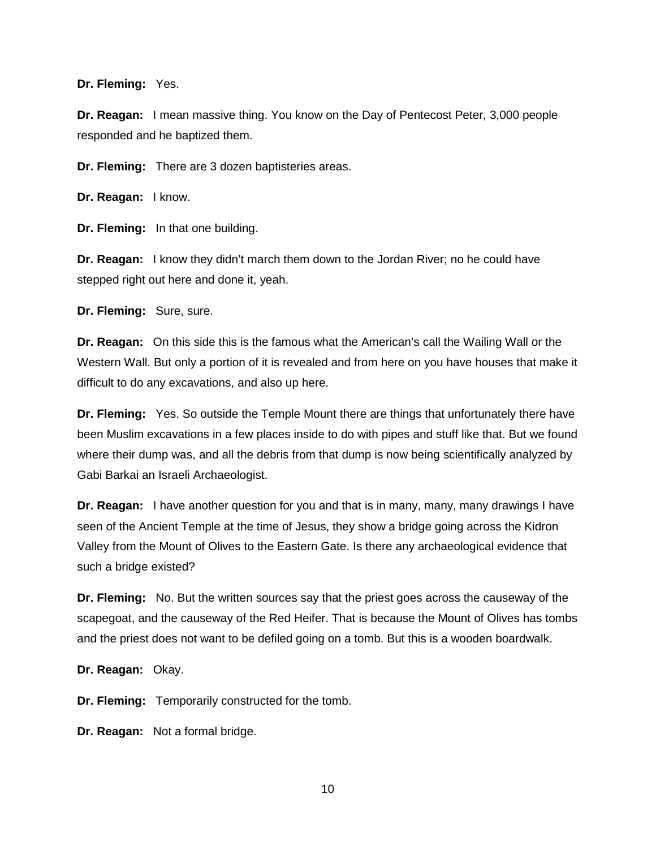**Dr. Fleming:** Yes.

**Dr. Reagan:** I mean massive thing. You know on the Day of Pentecost Peter, 3,000 people responded and he baptized them.

**Dr. Fleming:** There are 3 dozen baptisteries areas.

**Dr. Reagan:** I know.

**Dr. Fleming:** In that one building.

**Dr. Reagan:** I know they didn't march them down to the Jordan River; no he could have stepped right out here and done it, yeah.

**Dr. Fleming:** Sure, sure.

**Dr. Reagan:** On this side this is the famous what the American's call the Wailing Wall or the Western Wall. But only a portion of it is revealed and from here on you have houses that make it difficult to do any excavations, and also up here.

**Dr. Fleming:** Yes. So outside the Temple Mount there are things that unfortunately there have been Muslim excavations in a few places inside to do with pipes and stuff like that. But we found where their dump was, and all the debris from that dump is now being scientifically analyzed by Gabi Barkai an Israeli Archaeologist.

**Dr. Reagan:** I have another question for you and that is in many, many, many drawings I have seen of the Ancient Temple at the time of Jesus, they show a bridge going across the Kidron Valley from the Mount of Olives to the Eastern Gate. Is there any archaeological evidence that such a bridge existed?

**Dr. Fleming:** No. But the written sources say that the priest goes across the causeway of the scapegoat, and the causeway of the Red Heifer. That is because the Mount of Olives has tombs and the priest does not want to be defiled going on a tomb. But this is a wooden boardwalk.

**Dr. Reagan:** Okay.

**Dr. Fleming:** Temporarily constructed for the tomb.

**Dr. Reagan:** Not a formal bridge.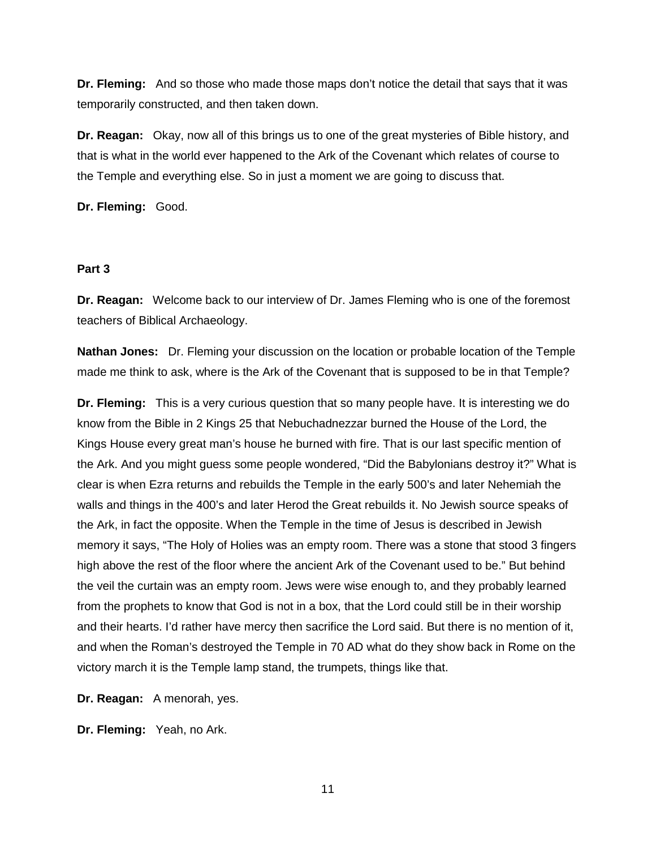**Dr. Fleming:** And so those who made those maps don't notice the detail that says that it was temporarily constructed, and then taken down.

**Dr. Reagan:** Okay, now all of this brings us to one of the great mysteries of Bible history, and that is what in the world ever happened to the Ark of the Covenant which relates of course to the Temple and everything else. So in just a moment we are going to discuss that.

**Dr. Fleming:** Good.

#### **Part 3**

**Dr. Reagan:** Welcome back to our interview of Dr. James Fleming who is one of the foremost teachers of Biblical Archaeology.

**Nathan Jones:** Dr. Fleming your discussion on the location or probable location of the Temple made me think to ask, where is the Ark of the Covenant that is supposed to be in that Temple?

**Dr. Fleming:** This is a very curious question that so many people have. It is interesting we do know from the Bible in 2 Kings 25 that Nebuchadnezzar burned the House of the Lord, the Kings House every great man's house he burned with fire. That is our last specific mention of the Ark. And you might guess some people wondered, "Did the Babylonians destroy it?" What is clear is when Ezra returns and rebuilds the Temple in the early 500's and later Nehemiah the walls and things in the 400's and later Herod the Great rebuilds it. No Jewish source speaks of the Ark, in fact the opposite. When the Temple in the time of Jesus is described in Jewish memory it says, "The Holy of Holies was an empty room. There was a stone that stood 3 fingers high above the rest of the floor where the ancient Ark of the Covenant used to be." But behind the veil the curtain was an empty room. Jews were wise enough to, and they probably learned from the prophets to know that God is not in a box, that the Lord could still be in their worship and their hearts. I'd rather have mercy then sacrifice the Lord said. But there is no mention of it, and when the Roman's destroyed the Temple in 70 AD what do they show back in Rome on the victory march it is the Temple lamp stand, the trumpets, things like that.

**Dr. Reagan:** A menorah, yes.

**Dr. Fleming:** Yeah, no Ark.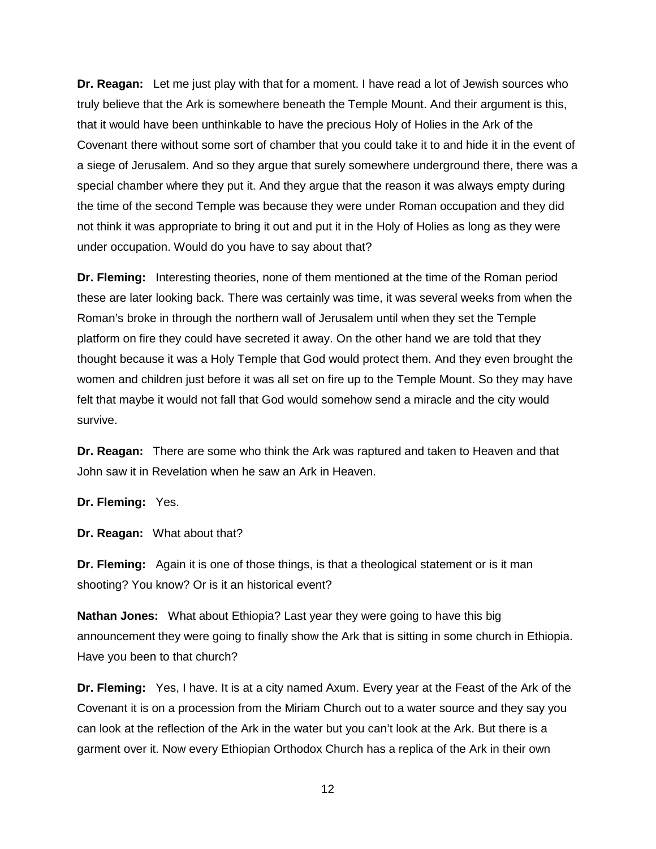**Dr. Reagan:** Let me just play with that for a moment. I have read a lot of Jewish sources who truly believe that the Ark is somewhere beneath the Temple Mount. And their argument is this, that it would have been unthinkable to have the precious Holy of Holies in the Ark of the Covenant there without some sort of chamber that you could take it to and hide it in the event of a siege of Jerusalem. And so they argue that surely somewhere underground there, there was a special chamber where they put it. And they argue that the reason it was always empty during the time of the second Temple was because they were under Roman occupation and they did not think it was appropriate to bring it out and put it in the Holy of Holies as long as they were under occupation. Would do you have to say about that?

**Dr. Fleming:** Interesting theories, none of them mentioned at the time of the Roman period these are later looking back. There was certainly was time, it was several weeks from when the Roman's broke in through the northern wall of Jerusalem until when they set the Temple platform on fire they could have secreted it away. On the other hand we are told that they thought because it was a Holy Temple that God would protect them. And they even brought the women and children just before it was all set on fire up to the Temple Mount. So they may have felt that maybe it would not fall that God would somehow send a miracle and the city would survive.

**Dr. Reagan:** There are some who think the Ark was raptured and taken to Heaven and that John saw it in Revelation when he saw an Ark in Heaven.

**Dr. Fleming:** Yes.

**Dr. Reagan:** What about that?

**Dr. Fleming:** Again it is one of those things, is that a theological statement or is it man shooting? You know? Or is it an historical event?

**Nathan Jones:** What about Ethiopia? Last year they were going to have this big announcement they were going to finally show the Ark that is sitting in some church in Ethiopia. Have you been to that church?

**Dr. Fleming:** Yes, I have. It is at a city named Axum. Every year at the Feast of the Ark of the Covenant it is on a procession from the Miriam Church out to a water source and they say you can look at the reflection of the Ark in the water but you can't look at the Ark. But there is a garment over it. Now every Ethiopian Orthodox Church has a replica of the Ark in their own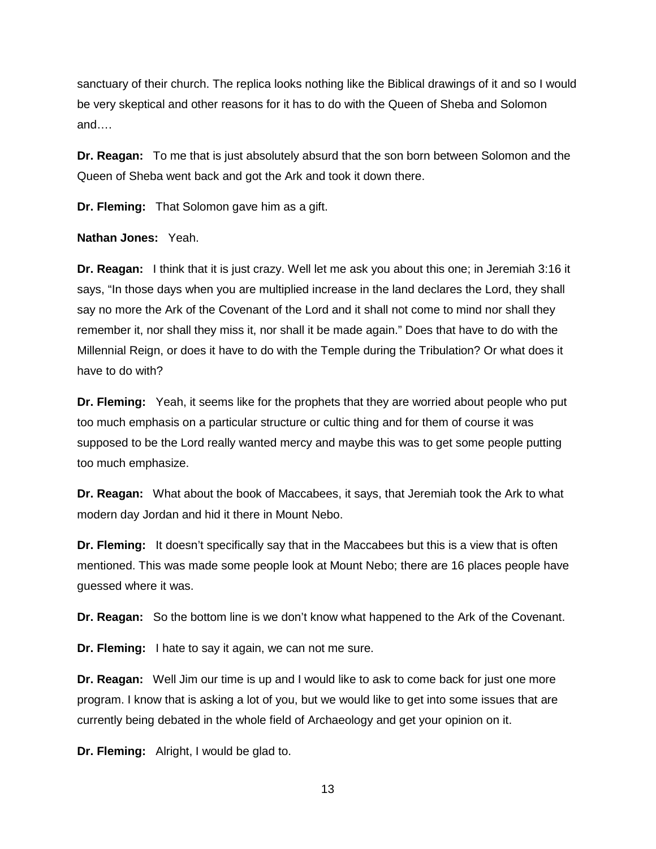sanctuary of their church. The replica looks nothing like the Biblical drawings of it and so I would be very skeptical and other reasons for it has to do with the Queen of Sheba and Solomon and….

**Dr. Reagan:** To me that is just absolutely absurd that the son born between Solomon and the Queen of Sheba went back and got the Ark and took it down there.

**Dr. Fleming:** That Solomon gave him as a gift.

**Nathan Jones:** Yeah.

**Dr. Reagan:** I think that it is just crazy. Well let me ask you about this one; in Jeremiah 3:16 it says, "In those days when you are multiplied increase in the land declares the Lord, they shall say no more the Ark of the Covenant of the Lord and it shall not come to mind nor shall they remember it, nor shall they miss it, nor shall it be made again." Does that have to do with the Millennial Reign, or does it have to do with the Temple during the Tribulation? Or what does it have to do with?

**Dr. Fleming:** Yeah, it seems like for the prophets that they are worried about people who put too much emphasis on a particular structure or cultic thing and for them of course it was supposed to be the Lord really wanted mercy and maybe this was to get some people putting too much emphasize.

**Dr. Reagan:** What about the book of Maccabees, it says, that Jeremiah took the Ark to what modern day Jordan and hid it there in Mount Nebo.

**Dr. Fleming:** It doesn't specifically say that in the Maccabees but this is a view that is often mentioned. This was made some people look at Mount Nebo; there are 16 places people have guessed where it was.

**Dr. Reagan:** So the bottom line is we don't know what happened to the Ark of the Covenant.

**Dr. Fleming:** I hate to say it again, we can not me sure.

**Dr. Reagan:** Well Jim our time is up and I would like to ask to come back for just one more program. I know that is asking a lot of you, but we would like to get into some issues that are currently being debated in the whole field of Archaeology and get your opinion on it.

**Dr. Fleming:** Alright, I would be glad to.